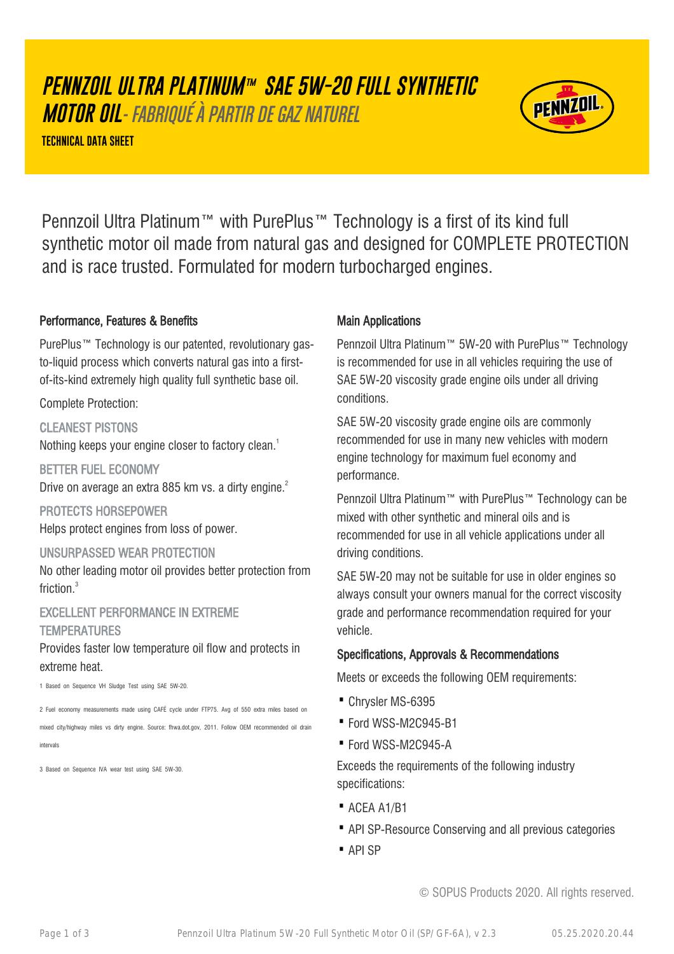# **PENNZOIL ULTRA PLATINUM™ SAE 5W-20 FULL SYNTHETIC**

**MOTOR OIL**- FABRIQUÉ À PARTIR DE GAZ NATUREL

**TECHNICAL DATA SHEET**



Pennzoil Ultra Platinum™ with PurePlus™ Technology is a first of its kind full synthetic motor oil made from natural gas and designed for COMPLETE PROTECTION and is race trusted. Formulated for modern turbocharged engines.

## Performance, Features & Benefits

PurePlus™ Technology is our patented, revolutionary gasto-liquid process which converts natural gas into a firstof-its-kind extremely high quality full synthetic base oil.

Complete Protection:

## CLEANEST PISTONS

Nothing keeps your engine closer to factory clean.<sup>1</sup>

BETTER FUEL ECONOMY Drive on average an extra 885 km vs. a dirty engine.<sup>2</sup>

PROTECTS HORSEPOWER Helps protect engines from loss of power.

#### UNSURPASSED WEAR PROTECTION

No other leading motor oil provides better protection from friction.<sup>3</sup>

# EXCELLENT PERFORMANCE IN EXTREME **TEMPERATURES**

Provides faster low temperature oil flow and protects in extreme heat.

1 Based on Sequence VH Sludge Test using SAE 5W-20.

2 Fuel economy measurements made using CAFÉ cycle under FTP75. Avg of 550 extra miles based on mixed city/highway miles vs dirty engine. Source: fhwa.dot.gov, 2011. Follow OEM recommended oil drain intervals

3 Based on Sequence IVA wear test using SAE 5W-30.

# Main Applications

Pennzoil Ultra Platinum™ 5W-20 with PurePlus™ Technology is recommended for use in all vehicles requiring the use of SAE 5W-20 viscosity grade engine oils under all driving conditions.

SAE 5W-20 viscosity grade engine oils are commonly recommended for use in many new vehicles with modern engine technology for maximum fuel economy and performance.

Pennzoil Ultra Platinum™ with PurePlus™ Technology can be mixed with other synthetic and mineral oils and is recommended for use in all vehicle applications under all driving conditions.

SAE 5W-20 may not be suitable for use in older engines so always consult your owners manual for the correct viscosity grade and performance recommendation required for your vehicle.

# Specifications, Approvals & Recommendations

Meets or exceeds the following OEM requirements:

- · Chrysler MS-6395
- · Ford WSS-M2C945-B1
- · Ford WSS-M2C945-A

Exceeds the requirements of the following industry specifications:

- · ACEA A1/B1
- · API SP-Resource Conserving and all previous categories
- · API SP

© SOPUS Products 2020. All rights reserved.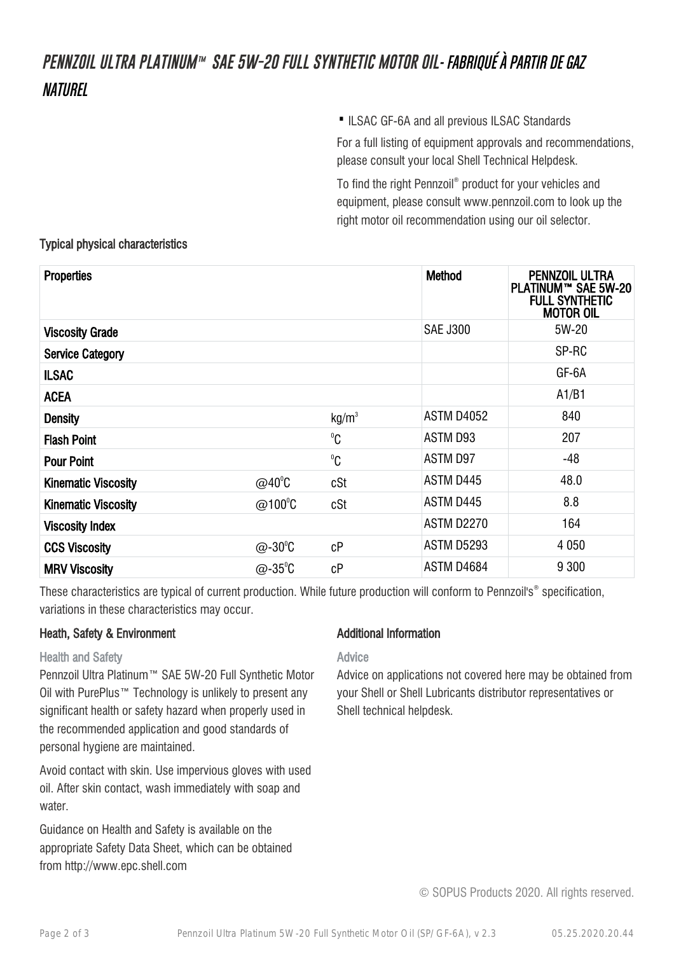# **PENNZOIL ULTRA PLATINUM™ SAE 5W-20 FULL SYNTHETIC MOTOR OIL**- FABRIQUÉ À PARTIR DE GAZ **NATIIRFI**

·ILSAC GF-6A and all previous ILSAC Standards

For a full listing of equipment approvals and recommendations, please consult your local Shell Technical Helpdesk.

To find the right Pennzoil® product for your vehicles and equipment, please consult www.pennzoil.com to look up the right motor oil recommendation using our oil selector.

# Typical physical characteristics

| <b>Properties</b>          |                   |                   | Method            | PENNZOIL ULTRA<br>PLATINUM™ SAE 5W-20<br><b>FULL SYNTHETIC</b><br><b>MOTOR OIL</b> |
|----------------------------|-------------------|-------------------|-------------------|------------------------------------------------------------------------------------|
| <b>Viscosity Grade</b>     |                   |                   | <b>SAE J300</b>   | 5W-20                                                                              |
| <b>Service Category</b>    |                   |                   |                   | SP-RC                                                                              |
| <b>ILSAC</b>               |                   |                   |                   | GF-6A                                                                              |
| <b>ACEA</b>                |                   |                   |                   | A1/B1                                                                              |
| <b>Density</b>             |                   | kg/m <sup>3</sup> | <b>ASTM D4052</b> | 840                                                                                |
| <b>Flash Point</b>         |                   | $^0C$             | ASTM D93          | 207                                                                                |
| <b>Pour Point</b>          |                   | $^0C$             | ASTM D97          | $-48$                                                                              |
| <b>Kinematic Viscosity</b> | $@40^{\circ}C$    | cSt               | ASTM D445         | 48.0                                                                               |
| <b>Kinematic Viscosity</b> | @100 $^{\circ}$ C | cSt               | ASTM D445         | 8.8                                                                                |
| <b>Viscosity Index</b>     |                   |                   | <b>ASTM D2270</b> | 164                                                                                |
| <b>CCS Viscosity</b>       | $@-30^{\circ}C$   | cP                | <b>ASTM D5293</b> | 4 0 5 0                                                                            |
| <b>MRV Viscosity</b>       | $@-35^{\circ}C$   | cP                | ASTM D4684        | 9 3 0 0                                                                            |

These characteristics are typical of current production. While future production will conform to Pennzoil's® specification, variations in these characteristics may occur.

## Heath, Safety & Environment

#### Health and Safety

Pennzoil Ultra Platinum™ SAE 5W-20 Full Synthetic Motor Oil with PurePlus™ Technology is unlikely to present any significant health or safety hazard when properly used in the recommended application and good standards of personal hygiene are maintained.

Avoid contact with skin. Use impervious gloves with used oil. After skin contact, wash immediately with soap and water.

Guidance on Health and Safety is available on the appropriate Safety Data Sheet, which can be obtained from http://www.epc.shell.com

## Additional Information

## Advice

Advice on applications not covered here may be obtained from your Shell or Shell Lubricants distributor representatives or Shell technical helpdesk.

© SOPUS Products 2020. All rights reserved.